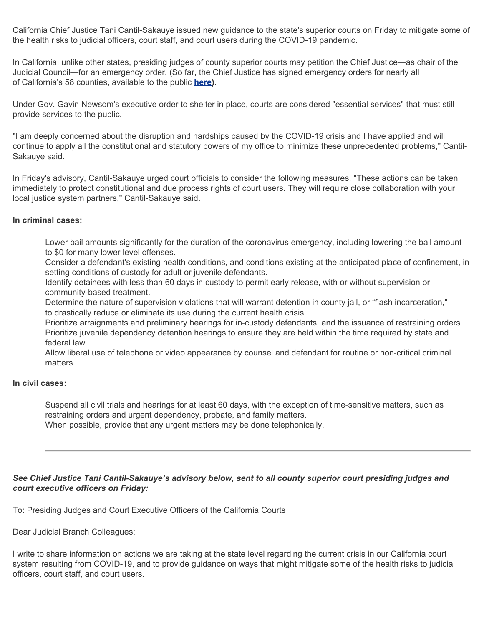California Chief Justice Tani Cantil-Sakauye issued new guidance to the state's superior courts on Friday to mitigate some of the health risks to judicial officers, court staff, and court users during the COVID-19 pandemic.

In California, unlike other states, presiding judges of county superior courts may petition the Chief Justice—as chair of the Judicial Council—for an emergency order. (So far, the Chief Justice has signed emergency orders for nearly all of California's 58 counties, available to the public **[here\)](https://newsroom.courts.ca.gov/news/court-emergency-orders-6794321)**.

Under Gov. Gavin Newsom's executive order to shelter in place, courts are considered "essential services" that must still provide services to the public.

"I am deeply concerned about the disruption and hardships caused by the COVID-19 crisis and I have applied and will continue to apply all the constitutional and statutory powers of my office to minimize these unprecedented problems," Cantil-Sakauye said.

In Friday's advisory, Cantil-Sakauye urged court officials to consider the following measures. "These actions can be taken immediately to protect constitutional and due process rights of court users. They will require close collaboration with your local justice system partners," Cantil-Sakauye said.

#### **In criminal cases:**

Lower bail amounts significantly for the duration of the coronavirus emergency, including lowering the bail amount to \$0 for many lower level offenses.

Consider a defendant's existing health conditions, and conditions existing at the anticipated place of confinement, in setting conditions of custody for adult or juvenile defendants.

Identify detainees with less than 60 days in custody to permit early release, with or without supervision or community-based treatment.

Determine the nature of supervision violations that will warrant detention in county jail, or "flash incarceration," to drastically reduce or eliminate its use during the current health crisis.

Prioritize arraignments and preliminary hearings for in-custody defendants, and the issuance of restraining orders. Prioritize juvenile dependency detention hearings to ensure they are held within the time required by state and federal law.

Allow liberal use of telephone or video appearance by counsel and defendant for routine or non-critical criminal matters.

## **In civil cases:**

Suspend all civil trials and hearings for at least 60 days, with the exception of time-sensitive matters, such as restraining orders and urgent dependency, probate, and family matters. When possible, provide that any urgent matters may be done telephonically.

# *See Chief Justice Tani Cantil-Sakauye's advisory below, sent to all county superior court presiding judges and court executive officers on Friday:*

To: Presiding Judges and Court Executive Officers of the California Courts

Dear Judicial Branch Colleagues:

I write to share information on actions we are taking at the state level regarding the current crisis in our California court system resulting from COVID-19, and to provide guidance on ways that might mitigate some of the health risks to judicial officers, court staff, and court users.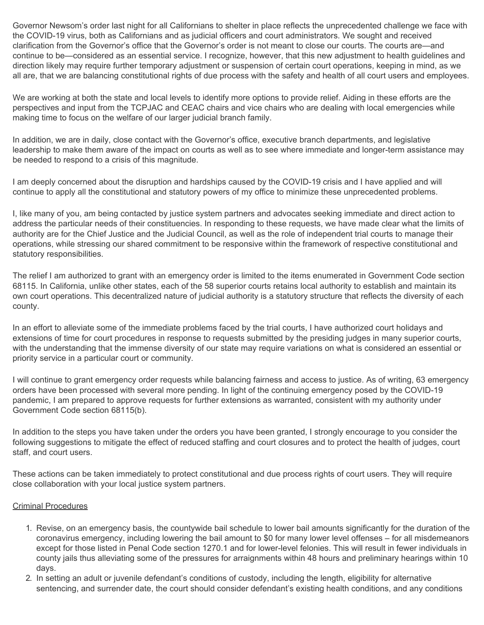Governor Newsom's order last night for all Californians to shelter in place reflects the unprecedented challenge we face with the COVID-19 virus, both as Californians and as judicial officers and court administrators. We sought and received clarification from the Governor's office that the Governor's order is not meant to close our courts. The courts are—and continue to be—considered as an essential service. I recognize, however, that this new adjustment to health guidelines and direction likely may require further temporary adjustment or suspension of certain court operations, keeping in mind, as we all are, that we are balancing constitutional rights of due process with the safety and health of all court users and employees.

We are working at both the state and local levels to identify more options to provide relief. Aiding in these efforts are the perspectives and input from the TCPJAC and CEAC chairs and vice chairs who are dealing with local emergencies while making time to focus on the welfare of our larger judicial branch family.

In addition, we are in daily, close contact with the Governor's office, executive branch departments, and legislative leadership to make them aware of the impact on courts as well as to see where immediate and longer-term assistance may be needed to respond to a crisis of this magnitude.

I am deeply concerned about the disruption and hardships caused by the COVID-19 crisis and I have applied and will continue to apply all the constitutional and statutory powers of my office to minimize these unprecedented problems.

I, like many of you, am being contacted by justice system partners and advocates seeking immediate and direct action to address the particular needs of their constituencies. In responding to these requests, we have made clear what the limits of authority are for the Chief Justice and the Judicial Council, as well as the role of independent trial courts to manage their operations, while stressing our shared commitment to be responsive within the framework of respective constitutional and statutory responsibilities.

The relief I am authorized to grant with an emergency order is limited to the items enumerated in Government Code section 68115. In California, unlike other states, each of the 58 superior courts retains local authority to establish and maintain its own court operations. This decentralized nature of judicial authority is a statutory structure that reflects the diversity of each county.

In an effort to alleviate some of the immediate problems faced by the trial courts, I have authorized court holidays and extensions of time for court procedures in response to requests submitted by the presiding judges in many superior courts, with the understanding that the immense diversity of our state may require variations on what is considered an essential or priority service in a particular court or community.

I will continue to grant emergency order requests while balancing fairness and access to justice. As of writing, 63 emergency orders have been processed with several more pending. In light of the continuing emergency posed by the COVID-19 pandemic, I am prepared to approve requests for further extensions as warranted, consistent with my authority under Government Code section 68115(b).

In addition to the steps you have taken under the orders you have been granted, I strongly encourage to you consider the following suggestions to mitigate the effect of reduced staffing and court closures and to protect the health of judges, court staff, and court users.

These actions can be taken immediately to protect constitutional and due process rights of court users. They will require close collaboration with your local justice system partners.

### Criminal Procedures

- 1. Revise, on an emergency basis, the countywide bail schedule to lower bail amounts significantly for the duration of the coronavirus emergency, including lowering the bail amount to \$0 for many lower level offenses – for all misdemeanors except for those listed in Penal Code section 1270.1 and for lower-level felonies. This will result in fewer individuals in county jails thus alleviating some of the pressures for arraignments within 48 hours and preliminary hearings within 10 days.
- 2. In setting an adult or juvenile defendant's conditions of custody, including the length, eligibility for alternative sentencing, and surrender date, the court should consider defendant's existing health conditions, and any conditions